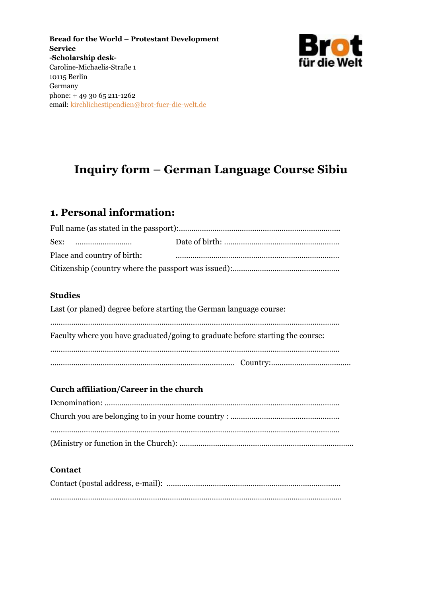**Bread for the World – Protestant Development Service -Scholarship desk-**Caroline-Michaelis-Straße 1 10115 Berlin Germany phone: + 49 30 65 211-1262 email: kirchlichestipendien@brot-fuer-die-welt.de



# **Inquiry form – German Language Course Sibiu**

### **1. Personal information:**

| Place and country of birth: |  |
|-----------------------------|--|
|                             |  |

#### **Studies**

| Last (or planed) degree before starting the German language course:            |
|--------------------------------------------------------------------------------|
| Faculty where you have graduated/going to graduate before starting the course: |
|                                                                                |

#### **Curch affiliation/Career in the church**

#### **Contact**